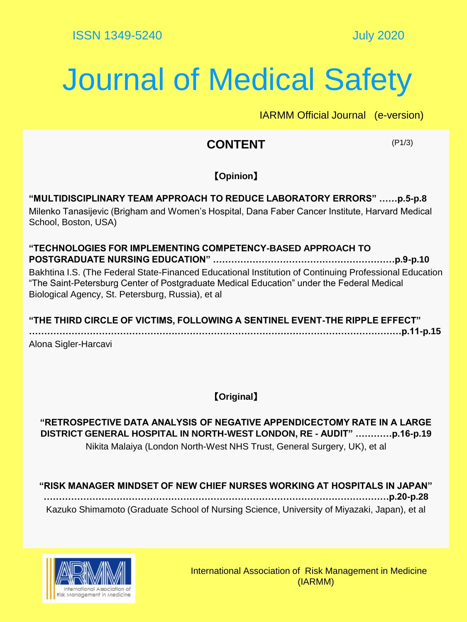## Journal of Medical Safety

IARMM Official Journal (e-version)

### **CONTENT**

(P1/3)

#### 【**Opinion**】

**"MULTIDISCIPLINARY TEAM APPROACH TO REDUCE LABORATORY ERRORS" ……p.5-p.8** Milenko Tanasijevic (Brigham and Women's Hospital, Dana Faber Cancer Institute, Harvard Medical School, Boston, USA)

#### **"TECHNOLOGIES FOR IMPLEMENTING COMPETENCY-BASED APPROACH TO POSTGRADUATE NURSING EDUCATION" ……………………………………………………p.9-p.10** Bakhtina I.S. (The Federal State-Financed Educational Institution of Continuing Professional Education "The Saint-Petersburg Center of Postgraduate Medical Education" under the Federal Medical Biological Agency, St. Petersburg, Russia), et al

**"THE THIRD CIRCLE OF VICTIMS, FOLLOWING A SENTINEL EVENT-THE RIPPLE EFFECT" ……………………………………………………………………………………………………………p.11-p.15** Alona Sigler-Harcavi

【**Original**】

**"RETROSPECTIVE DATA ANALYSIS OF NEGATIVE APPENDICECTOMY RATE IN A LARGE DISTRICT GENERAL HOSPITAL IN NORTH-WEST LONDON, RE - AUDIT" …………p.16-p.19** Nikita Malaiya (London North-West NHS Trust, General Surgery, UK), et al

**"RISK MANAGER MINDSET OF NEW CHIEF NURSES WORKING AT HOSPITALS IN JAPAN" ……………………………………………………………………………………………………p.20-p.28** Kazuko Shimamoto (Graduate School of Nursing Science, University of Miyazaki, Japan), et al

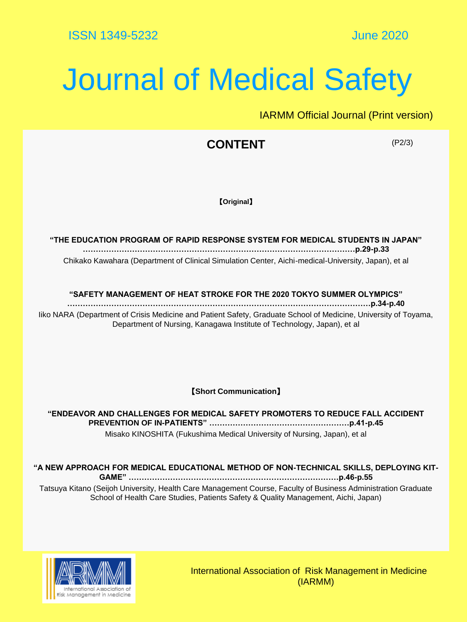# Journal of Medical Safety

IARMM Official Journal (Print version)

### **CONTENT**

(P2/3)

【**Original**】

**"THE EDUCATION PROGRAM OF RAPID RESPONSE SYSTEM FOR MEDICAL STUDENTS IN JAPAN" ……………………………………………………………………………………………p.29-p.33** Chikako Kawahara (Department of Clinical Simulation Center, Aichi-medical-University, Japan), et al

#### **"SAFETY MANAGEMENT OF HEAT STROKE FOR THE 2020 TOKYO SUMMER OLYMPICS"**

**………………………………………………………………………………………………………p.34-p.40** Iiko NARA (Department of Crisis Medicine and Patient Safety, Graduate School of Medicine, University of Toyama, Department of Nursing, Kanagawa Institute of Technology, Japan), et al

【**Short Communication**】

**"ENDEAVOR AND CHALLENGES FOR MEDICAL SAFETY PROMOTERS TO REDUCE FALL ACCIDENT PREVENTION OF IN-PATIENTS" ………………………………………………p.41-p.45** Misako KINOSHITA (Fukushima Medical University of Nursing, Japan), et al

**"A NEW APPROACH FOR MEDICAL EDUCATIONAL METHOD OF NON-TECHNICAL SKILLS, DEPLOYING KIT-**

**GAME" ………………………………………………………………………p.46-p.55** Tatsuya Kitano (Seijoh University, Health Care Management Course, Faculty of Business Administration Graduate School of Health Care Studies, Patients Safety & Quality Management, Aichi, Japan)



International Association of Risk Management in Medicine (IARMM)